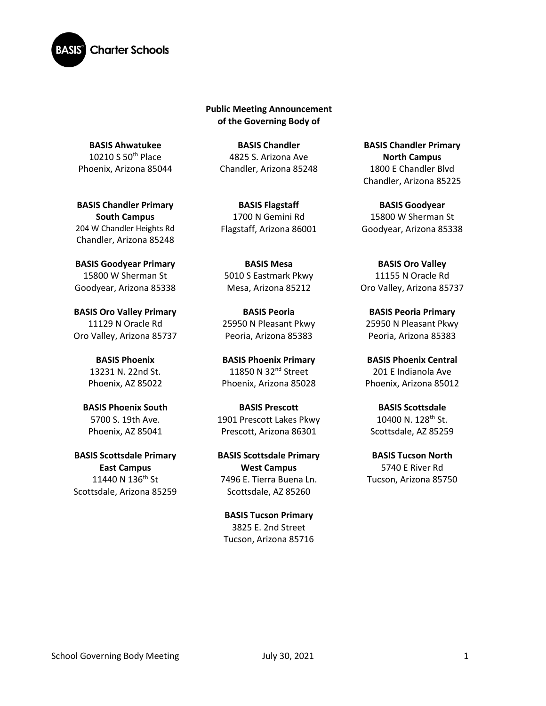

**Public Meeting Announcement of the Governing Body of** 

**BASIS Ahwatukee** 10210 S 50th Place Phoenix, Arizona 85044

**BASIS Chandler Primary South Campus**  204 W Chandler Heights Rd Chandler, Arizona 85248

**BASIS Goodyear Primary** 15800 W Sherman St Goodyear, Arizona 85338

**BASIS Oro Valley Primary**  11129 N Oracle Rd Oro Valley, Arizona 85737

> **BASIS Phoenix** 13231 N. 22nd St. Phoenix, AZ 85022

**BASIS Phoenix South**  5700 S. 19th Ave. Phoenix, AZ 85041

**BASIS Scottsdale Primary East Campus** 11440 N 136<sup>th</sup> St Scottsdale, Arizona 85259

**BASIS Chandler** 4825 S. Arizona Ave Chandler, Arizona 85248

**BASIS Flagstaff** 1700 N Gemini Rd Flagstaff, Arizona 86001

**BASIS Mesa**  5010 S Eastmark Pkwy Mesa, Arizona 85212

**BASIS Peoria** 25950 N Pleasant Pkwy Peoria, Arizona 85383

**BASIS Phoenix Primary** 11850 N 32<sup>nd</sup> Street Phoenix, Arizona 85028

**BASIS Prescott** 1901 Prescott Lakes Pkwy Prescott, Arizona 86301

**BASIS Scottsdale Primary West Campus** 7496 E. Tierra Buena Ln. Scottsdale, AZ 85260

**BASIS Tucson Primary** 3825 E. 2nd Street Tucson, Arizona 85716

**BASIS Chandler Primary North Campus** 1800 E Chandler Blvd Chandler, Arizona 85225

**BASIS Goodyear** 15800 W Sherman St Goodyear, Arizona 85338

**BASIS Oro Valley** 11155 N Oracle Rd Oro Valley, Arizona 85737

**BASIS Peoria Primary**  25950 N Pleasant Pkwy Peoria, Arizona 85383

**BASIS Phoenix Central** 201 E Indianola Ave Phoenix, Arizona 85012

**BASIS Scottsdale** 10400 N.  $128^{th}$  St. Scottsdale, AZ 85259

**BASIS Tucson North** 5740 E River Rd Tucson, Arizona 85750